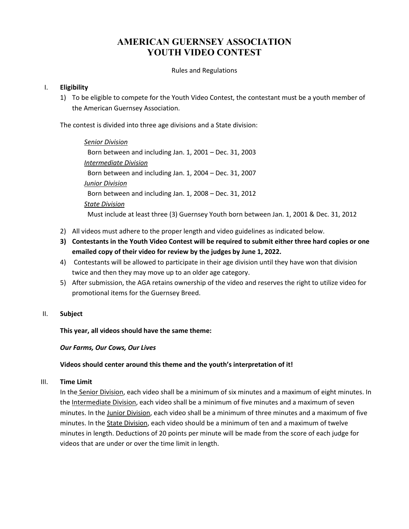# **AMERICAN GUERNSEY ASSOCIATION YOUTH VIDEO CONTEST**

Rules and Regulations

# I. **Eligibility**

1) To be eligible to compete for the Youth Video Contest, the contestant must be a youth member of the American Guernsey Association.

The contest is divided into three age divisions and a State division:

*Senior Division* Born between and including Jan. 1, 2001 – Dec. 31, 2003 *Intermediate Division* Born between and including Jan. 1, 2004 – Dec. 31, 2007 *Junior Division* Born between and including Jan. 1, 2008 – Dec. 31, 2012 *State Division* Must include at least three (3) Guernsey Youth born between Jan. 1, 2001 & Dec. 31, 2012

- 2) All videos must adhere to the proper length and video guidelines as indicated below.
- **3) Contestants in the Youth Video Contest will be required to submit either three hard copies or one emailed copy of their video for review by the judges by June 1, 2022.**
- 4) Contestants will be allowed to participate in their age division until they have won that division twice and then they may move up to an older age category.
- 5) After submission, the AGA retains ownership of the video and reserves the right to utilize video for promotional items for the Guernsey Breed.

#### II. **Subject**

**This year, all videos should have the same theme:**

*Our Farms, Our Cows, Our Lives*

#### **Videos should center around this theme and the youth's interpretation of it!**

#### III. **Time Limit**

In the Senior Division, each video shall be a minimum of six minutes and a maximum of eight minutes. In the Intermediate Division, each video shall be a minimum of five minutes and a maximum of seven minutes. In the Junior Division, each video shall be a minimum of three minutes and a maximum of five minutes. In the State Division, each video should be a minimum of ten and a maximum of twelve minutes in length. Deductions of 20 points per minute will be made from the score of each judge for videos that are under or over the time limit in length.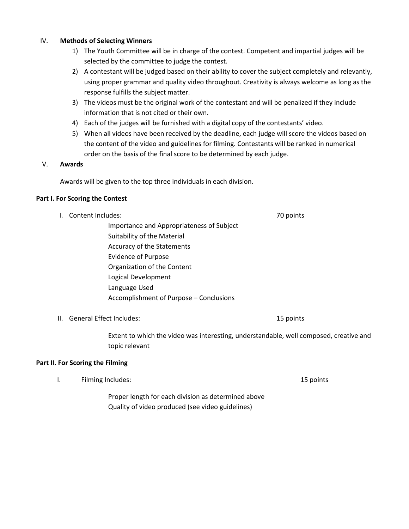# IV. **Methods of Selecting Winners**

- 1) The Youth Committee will be in charge of the contest. Competent and impartial judges will be selected by the committee to judge the contest.
- 2) A contestant will be judged based on their ability to cover the subject completely and relevantly, using proper grammar and quality video throughout. Creativity is always welcome as long as the response fulfills the subject matter.
- 3) The videos must be the original work of the contestant and will be penalized if they include information that is not cited or their own.
- 4) Each of the judges will be furnished with a digital copy of the contestants' video.
- 5) When all videos have been received by the deadline, each judge will score the videos based on the content of the video and guidelines for filming. Contestants will be ranked in numerical order on the basis of the final score to be determined by each judge.

#### V. **Awards**

Awards will be given to the top three individuals in each division.

#### **Part I. For Scoring the Contest**

- I. Content Includes: 70 points
	- Importance and Appropriateness of Subject Suitability of the Material Accuracy of the Statements Evidence of Purpose Organization of the Content Logical Development Language Used Accomplishment of Purpose – Conclusions

II. General Effect Includes: 15 points

Extent to which the video was interesting, understandable, well composed, creative and topic relevant

#### **Part II. For Scoring the Filming**

I. Filming Includes: 15 points and 15 points and 15 points and 15 points and 15 points and 15 points and 15 points and 15 points and 15 points and 15 points and 15 points and 15 points and 15 points and 15 points and 15 po

Proper length for each division as determined above Quality of video produced (see video guidelines)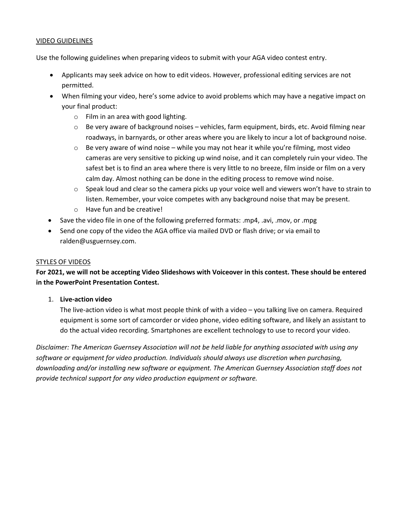# VIDEO GUIDELINES

Use the following guidelines when preparing videos to submit with your AGA video contest entry.

- Applicants may seek advice on how to edit videos. However, professional editing services are not permitted.
- When filming your video, here's some advice to avoid problems which may have a negative impact on your final product:
	- o Film in an area with good lighting.
	- $\circ$  Be very aware of background noises vehicles, farm equipment, birds, etc. Avoid filming near roadways, in barnyards, or other areas where you are likely to incur a lot of background noise.
	- $\circ$  Be very aware of wind noise while you may not hear it while you're filming, most video cameras are very sensitive to picking up wind noise, and it can completely ruin your video. The safest bet is to find an area where there is very little to no breeze, film inside or film on a very calm day. Almost nothing can be done in the editing process to remove wind noise.
	- $\circ$  Speak loud and clear so the camera picks up your voice well and viewers won't have to strain to listen. Remember, your voice competes with any background noise that may be present.
	- o Have fun and be creative!
- Save the video file in one of the following preferred formats: .mp4, .avi, .mov, or .mpg
- Send one copy of the video the AGA office via mailed DVD or flash drive; or via email to ralden@usguernsey.com.

# STYLES OF VIDEOS

**For 2021, we will not be accepting Video Slideshows with Voiceover in this contest. These should be entered in the PowerPoint Presentation Contest.**

#### 1. **Live‐action video**

The live-action video is what most people think of with a video – you talking live on camera. Required equipment is some sort of camcorder or video phone, video editing software, and likely an assistant to do the actual video recording. Smartphones are excellent technology to use to record your video.

*Disclaimer: The American Guernsey Association will not be held liable for anything associated with using any software or equipment for video production. Individuals should always use discretion when purchasing, downloading and/or installing new software or equipment. The American Guernsey Association staff does not provide technical support for any video production equipment or software.*